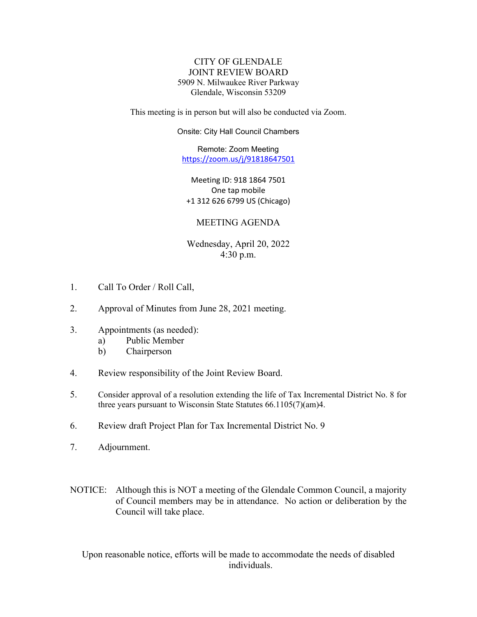## CITY OF GLENDALE JOINT REVIEW BOARD 5909 N. Milwaukee River Parkway Glendale, Wisconsin 53209

This meeting is in person but will also be conducted via Zoom.

Onsite: City Hall Council Chambers

Remote: Zoom Meeting <https://zoom.us/j/91818647501>

Meeting ID: 918 1864 7501 One tap mobile +1 312 626 6799 US (Chicago)

## MEETING AGENDA

Wednesday, April 20, 2022 4:30 p.m.

- 1. Call To Order / Roll Call,
- [2. Approval of Minutes from June 28, 2021 meeting.](#page-1-0)
- 3. Appointments (as needed):
	- a) Public Member
	- b) Chairperson
- 4. Review responsibility of the Joint Review Board.
- 5. [Consider approval of a resolution extending the life of Tax Incremental District No. 8 for](#page-3-0) three years pursuant to Wisconsin State Statutes 66.1105(7)(am)4.
- 6. [Review draft Project Plan for Tax Incremental District No. 9](#page-5-0)
- 7. Adjournment.
- NOTICE: Although this is NOT a meeting of the Glendale Common Council, a majority of Council members may be in attendance. No action or deliberation by the Council will take place.

Upon reasonable notice, efforts will be made to accommodate the needs of disabled individuals.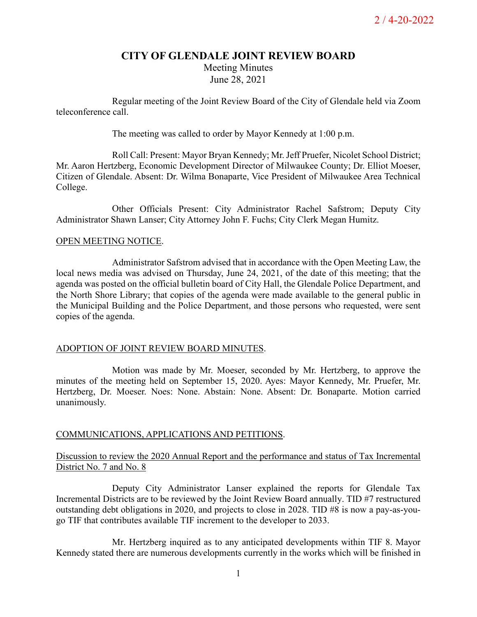# **CITY OF GLENDALE JOINT REVIEW BOARD** Meeting Minutes June 28, 2021

<span id="page-1-0"></span>Regular meeting of the Joint Review Board of the City of Glendale held via Zoom teleconference call.

The meeting was called to order by Mayor Kennedy at 1:00 p.m.

Roll Call: Present: Mayor Bryan Kennedy; Mr.Jeff Pruefer, Nicolet School District; Mr. Aaron Hertzberg, Economic Development Director of Milwaukee County; Dr. Elliot Moeser, Citizen of Glendale. Absent: Dr. Wilma Bonaparte, Vice President of Milwaukee Area Technical College.

Other Officials Present: City Administrator Rachel Safstrom; Deputy City Administrator Shawn Lanser; City Attorney John F. Fuchs; City Clerk Megan Humitz.

## OPEN MEETING NOTICE.

Administrator Safstrom advised that in accordance with the Open Meeting Law, the local news media was advised on Thursday, June 24, 2021, of the date of this meeting; that the agenda was posted on the official bulletin board of City Hall, the Glendale Police Department, and the North Shore Library; that copies of the agenda were made available to the general public in the Municipal Building and the Police Department, and those persons who requested, were sent copies of the agenda.

## ADOPTION OF JOINT REVIEW BOARD MINUTES.

Motion was made by Mr. Moeser, seconded by Mr. Hertzberg, to approve the minutes of the meeting held on September 15, 2020. Ayes: Mayor Kennedy, Mr. Pruefer, Mr. Hertzberg, Dr. Moeser. Noes: None. Abstain: None. Absent: Dr. Bonaparte. Motion carried unanimously.

## COMMUNICATIONS, APPLICATIONS AND PETITIONS.

# Discussion to review the 2020 Annual Report and the performance and status of Tax Incremental District No. 7 and No. 8

Deputy City Administrator Lanser explained the reports for Glendale Tax Incremental Districts are to be reviewed by the Joint Review Board annually. TID #7 restructured outstanding debt obligations in 2020, and projects to close in 2028. TID #8 is now a pay-as-yougo TIF that contributes available TIF increment to the developer to 2033.

Mr. Hertzberg inquired as to any anticipated developments within TIF 8. Mayor Kennedy stated there are numerous developments currently in the works which will be finished in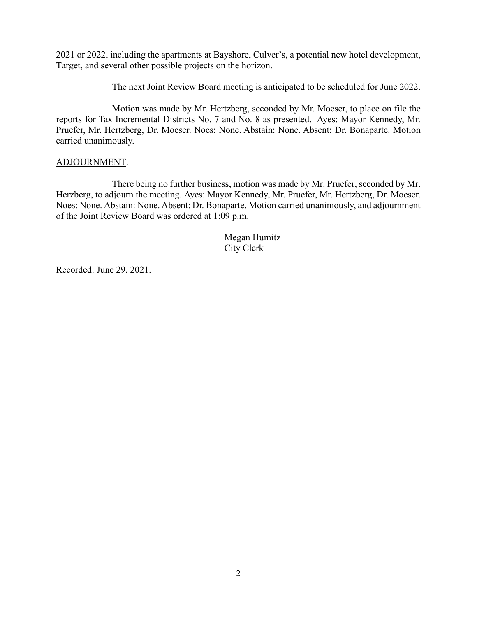2021 or 2022, including the apartments at Bayshore, Culver's, a potential new hotel development, Target, and several other possible projects on the horizon.

The next Joint Review Board meeting is anticipated to be scheduled for June 2022.

Motion was made by Mr. Hertzberg, seconded by Mr. Moeser, to place on file the reports for Tax Incremental Districts No. 7 and No. 8 as presented. Ayes: Mayor Kennedy, Mr. Pruefer, Mr. Hertzberg, Dr. Moeser. Noes: None. Abstain: None. Absent: Dr. Bonaparte. Motion carried unanimously.

## ADJOURNMENT.

There being no further business, motion was made by Mr. Pruefer, seconded by Mr. Herzberg, to adjourn the meeting. Ayes: Mayor Kennedy, Mr. Pruefer, Mr. Hertzberg, Dr. Moeser. Noes: None. Abstain: None. Absent: Dr. Bonaparte. Motion carried unanimously, and adjournment of the Joint Review Board was ordered at 1:09 p.m.

> Megan Humitz City Clerk

Recorded: June 29, 2021.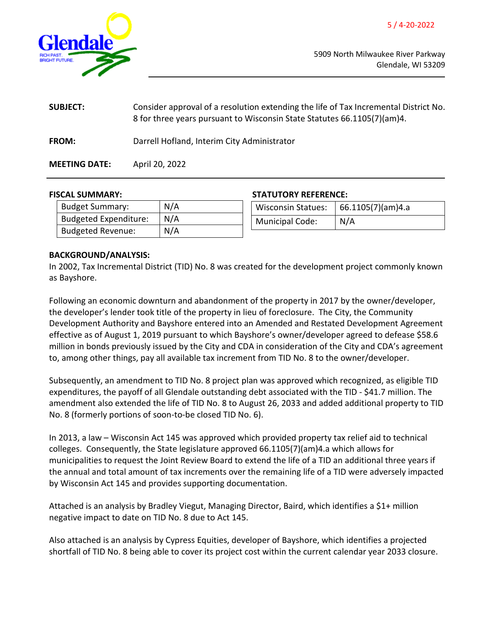<span id="page-3-0"></span>

5909 North Milwaukee River Parkway Glendale, WI 53209

| <b>SUBJECT:</b>      | Consider approval of a resolution extending the life of Tax Incremental District No.<br>8 for three years pursuant to Wisconsin State Statutes 66.1105(7)(am)4. |
|----------------------|-----------------------------------------------------------------------------------------------------------------------------------------------------------------|
| <b>FROM:</b>         | Darrell Hofland, Interim City Administrator                                                                                                                     |
| <b>MEETING DATE:</b> | April 20, 2022                                                                                                                                                  |

#### **FISCAL SUMMARY: STATUTORY REFERENCE:**

| <b>Budget Summary:</b>       | N/A | <b>Wisconsin Statues:</b> | 66.1105(7)(am)4.a |
|------------------------------|-----|---------------------------|-------------------|
| <b>Budgeted Expenditure:</b> | N/A | <b>Municipal Code:</b>    | N/A               |
| <b>Budgeted Revenue:</b>     | N/A |                           |                   |

#### **BACKGROUND/ANALYSIS:**

In 2002, Tax Incremental District (TID) No. 8 was created for the development project commonly known as Bayshore.

Following an economic downturn and abandonment of the property in 2017 by the owner/developer, the developer's lender took title of the property in lieu of foreclosure. The City, the Community Development Authority and Bayshore entered into an Amended and Restated Development Agreement effective as of August 1, 2019 pursuant to which Bayshore's owner/developer agreed to defease \$58.6 million in bonds previously issued by the City and CDA in consideration of the City and CDA's agreement to, among other things, pay all available tax increment from TID No. 8 to the owner/developer.

Subsequently, an amendment to TID No. 8 project plan was approved which recognized, as eligible TID expenditures, the payoff of all Glendale outstanding debt associated with the TID - \$41.7 million. The amendment also extended the life of TID No. 8 to August 26, 2033 and added additional property to TID No. 8 (formerly portions of soon-to-be closed TID No. 6).

In 2013, a law – Wisconsin Act 145 was approved which provided property tax relief aid to technical colleges. Consequently, the State legislature approved 66.1105(7)(am)4.a which allows for municipalities to request the Joint Review Board to extend the life of a TID an additional three years if the annual and total amount of tax increments over the remaining life of a TID were adversely impacted by Wisconsin Act 145 and provides supporting documentation.

Attached is an analysis by Bradley Viegut, Managing Director, Baird, which identifies a \$1+ million negative impact to date on TID No. 8 due to Act 145.

Also attached is an analysis by Cypress Equities, developer of Bayshore, which identifies a projected shortfall of TID No. 8 being able to cover its project cost within the current calendar year 2033 closure.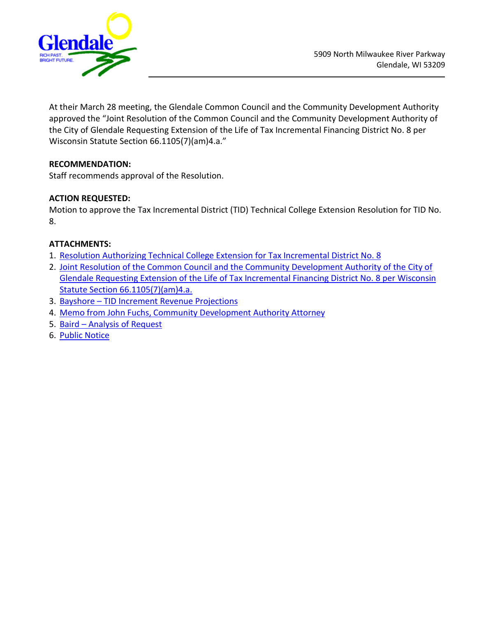

At their March 28 meeting, the Glendale Common Council and the Community Development Authority approved the "Joint Resolution of the Common Council and the Community Development Authority of the City of Glendale Requesting Extension of the Life of Tax Incremental Financing District No. 8 per Wisconsin Statute Section 66.1105(7)(am)4.a."

# **RECOMMENDATION:**

Staff recommends approval of the Resolution.

# **ACTION REQUESTED:**

Motion to approve the Tax Incremental District (TID) Technical College Extension Resolution for TID No. 8.

# **ATTACHMENTS:**

- 1. [Resolution Authorizing Technical College Extension for Tax Incremental District No. 8](https://www.glendale-wi.org/DocumentCenter/View/2549/Resolution-Authorizing-Technical-College-Extension-for-Tax-Incremental-Dictrict-No-8)
- 2. [Joint Resolution of the Common Council and the Community Development Authority of the City of](https://www.glendale-wi.org/DocumentCenter/View/2554/Joint-Resolution-TID-8-Extension) [Glendale Requesting Extension of the Life of Tax Incremental Financing District No. 8 per Wisconsin](https://www.glendale-wi.org/DocumentCenter/View/2554/Joint-Resolution-TID-8-Extension) Statute [Section 66.1105\(7\)\(am\)4.a.](https://www.glendale-wi.org/DocumentCenter/View/2554/Joint-Resolution-TID-8-Extension)
- 3. [Bayshore TID Increment Revenue Projections](https://www.glendale-wi.org/DocumentCenter/View/2551/Bayshore_TID-Increment-Revenue-Projections)
- 4. [Memo from John Fuchs, Community Development Authority Attorney](https://www.glendale-wi.org/DocumentCenter/View/2550/Memo-from-John-Fuchs)
- 5. [Baird Analysis of Request](https://www.glendale-wi.org/DocumentCenter/View/2553/Baird---Analysis-of-Request)
- 6. [Public Notice](https://www.glendale-wi.org/DocumentCenter/View/2548/Public-Notice---TIDs-9--8)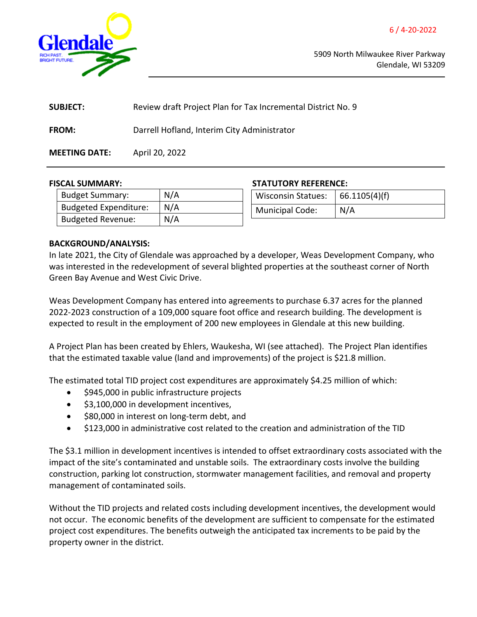<span id="page-5-0"></span>

5909 North Milwaukee River Parkway Glendale, WI 53209

| <b>SUBJECT:</b>      | Review draft Project Plan for Tax Incremental District No. 9 |
|----------------------|--------------------------------------------------------------|
| <b>FROM:</b>         | Darrell Hofland, Interim City Administrator                  |
| <b>MEETING DATE:</b> | April 20, 2022                                               |

#### **FISCAL SUMMARY: STATUTORY REFERENCE:**

| <b>Budget Summary:</b>       | N/A |
|------------------------------|-----|
| <b>Budgeted Expenditure:</b> | N/A |
| <b>Budgeted Revenue:</b>     | N/A |

| <b>Wisconsin Statues:</b> | 66.1105(4)(f) |
|---------------------------|---------------|
| <b>Municipal Code:</b>    | N/A           |

## **BACKGROUND/ANALYSIS:**

In late 2021, the City of Glendale was approached by a developer, Weas Development Company, who was interested in the redevelopment of several blighted properties at the southeast corner of North Green Bay Avenue and West Civic Drive.

Weas Development Company has entered into agreements to purchase 6.37 acres for the planned 2022-2023 construction of a 109,000 square foot office and research building. The development is expected to result in the employment of 200 new employees in Glendale at this new building.

A Project Plan has been created by Ehlers, Waukesha, WI (see attached). The Project Plan identifies that the estimated taxable value (land and improvements) of the project is \$21.8 million.

The estimated total TID project cost expenditures are approximately \$4.25 million of which:

- \$945,000 in public infrastructure projects
- \$3,100,000 in development incentives,
- \$80,000 in interest on long-term debt, and
- \$123,000 in administrative cost related to the creation and administration of the TID

The \$3.1 million in development incentives is intended to offset extraordinary costs associated with the impact of the site's contaminated and unstable soils. The extraordinary costs involve the building construction, parking lot construction, stormwater management facilities, and removal and property management of contaminated soils.

Without the TID projects and related costs including development incentives, the development would not occur. The economic benefits of the development are sufficient to compensate for the estimated project cost expenditures. The benefits outweigh the anticipated tax increments to be paid by the property owner in the district.